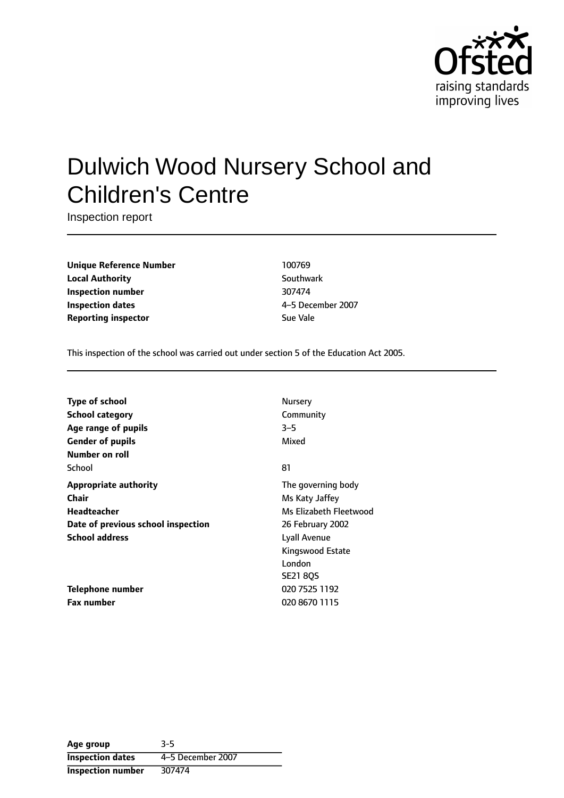

# Dulwich Wood Nursery School and Children's Centre

Inspection report

**Unique Reference Number** 100769 **Local Authority** Southwark **Inspection number** 307474 **Inspection dates** 4-5 December 2007 **Reporting inspector** Sue Vale

This inspection of the school was carried out under section 5 of the Education Act 2005.

| Type of school                     | Nursery                |
|------------------------------------|------------------------|
| School category                    | Community              |
| Age range of pupils                | $3 - 5$                |
| <b>Gender of pupils</b>            | Mixed                  |
| Number on roll                     |                        |
| School                             | 81                     |
| Appropriate authority              | The governing body     |
| Chair                              | Ms Katy Jaffey         |
| <b>Headteacher</b>                 | Ms Elizabeth Eleetwood |
| Date of previous school inspection | 26 February 2002       |
| <b>School address</b>              | Lyall Avenue           |
|                                    | Kingswood Estate       |
|                                    | London                 |
|                                    | <b>SE21 8QS</b>        |
| Telephone number                   | 020 7525 1192          |
| <b>Fax number</b>                  | 020 8670 1115          |

| Age group                | $3 - 5$           |
|--------------------------|-------------------|
| <b>Inspection dates</b>  | 4-5 December 2007 |
| <b>Inspection number</b> | 307474            |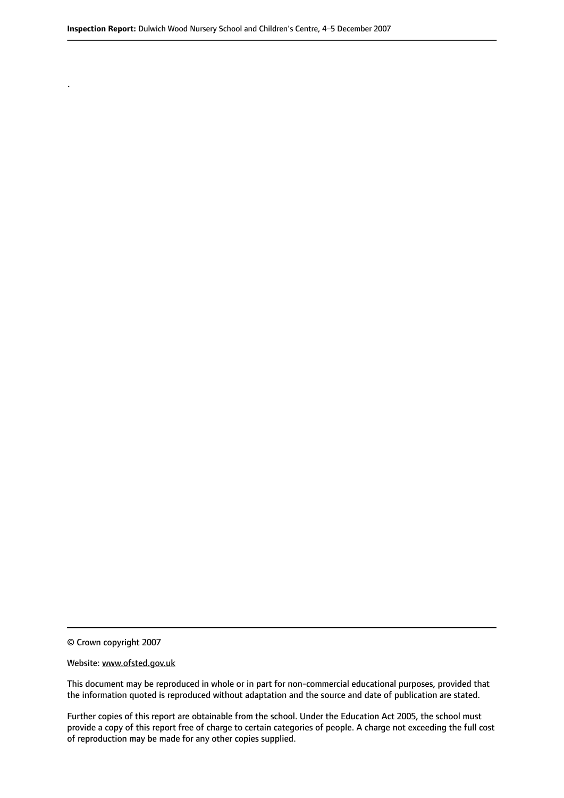© Crown copyright 2007

.

#### Website: www.ofsted.gov.uk

This document may be reproduced in whole or in part for non-commercial educational purposes, provided that the information quoted is reproduced without adaptation and the source and date of publication are stated.

Further copies of this report are obtainable from the school. Under the Education Act 2005, the school must provide a copy of this report free of charge to certain categories of people. A charge not exceeding the full cost of reproduction may be made for any other copies supplied.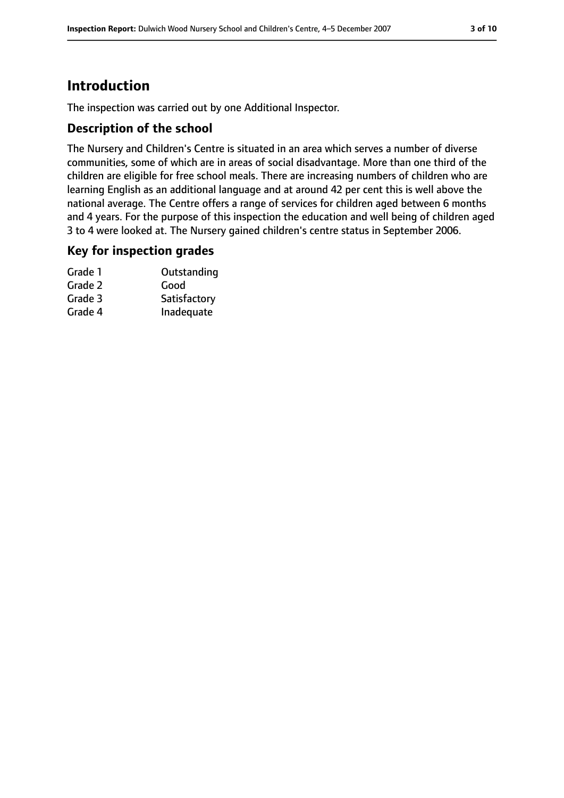# **Introduction**

The inspection was carried out by one Additional Inspector.

#### **Description of the school**

The Nursery and Children's Centre is situated in an area which serves a number of diverse communities, some of which are in areas of social disadvantage. More than one third of the children are eligible for free school meals. There are increasing numbers of children who are learning English as an additional language and at around 42 per cent this is well above the national average. The Centre offers a range of services for children aged between 6 months and 4 years. For the purpose of this inspection the education and well being of children aged 3 to 4 were looked at. The Nursery gained children's centre status in September 2006.

#### **Key for inspection grades**

| Grade 1 | Outstanding  |
|---------|--------------|
| Grade 2 | Good         |
| Grade 3 | Satisfactory |
| Grade 4 | Inadequate   |
|         |              |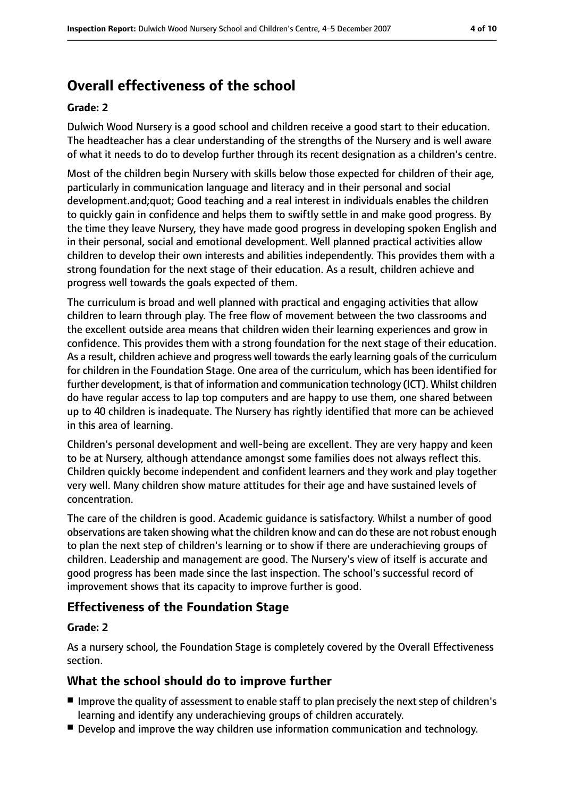# **Overall effectiveness of the school**

#### **Grade: 2**

Dulwich Wood Nursery is a good school and children receive a good start to their education. The headteacher has a clear understanding of the strengths of the Nursery and is well aware of what it needs to do to develop further through its recent designation as a children's centre.

Most of the children begin Nursery with skills below those expected for children of their age, particularly in communication language and literacy and in their personal and social development.and;quot; Good teaching and a real interest in individuals enables the children to quickly gain in confidence and helps them to swiftly settle in and make good progress. By the time they leave Nursery, they have made good progress in developing spoken English and in their personal, social and emotional development. Well planned practical activities allow children to develop their own interests and abilities independently. This provides them with a strong foundation for the next stage of their education. As a result, children achieve and progress well towards the goals expected of them.

The curriculum is broad and well planned with practical and engaging activities that allow children to learn through play. The free flow of movement between the two classrooms and the excellent outside area means that children widen their learning experiences and grow in confidence. This provides them with a strong foundation for the next stage of their education. As a result, children achieve and progress well towards the early learning goals of the curriculum for children in the Foundation Stage. One area of the curriculum, which has been identified for further development, is that of information and communication technology (ICT). Whilst children do have regular access to lap top computers and are happy to use them, one shared between up to 40 children is inadequate. The Nursery has rightly identified that more can be achieved in this area of learning.

Children's personal development and well-being are excellent. They are very happy and keen to be at Nursery, although attendance amongst some families does not always reflect this. Children quickly become independent and confident learners and they work and play together very well. Many children show mature attitudes for their age and have sustained levels of concentration.

The care of the children is good. Academic guidance is satisfactory. Whilst a number of good observations are taken showing what the children know and can do these are not robust enough to plan the next step of children's learning or to show if there are underachieving groups of children. Leadership and management are good. The Nursery's view of itself is accurate and good progress has been made since the last inspection. The school's successful record of improvement shows that its capacity to improve further is good.

#### **Effectiveness of the Foundation Stage**

#### **Grade: 2**

As a nursery school, the Foundation Stage is completely covered by the Overall Effectiveness section.

#### **What the school should do to improve further**

- Improve the quality of assessment to enable staff to plan precisely the next step of children's learning and identify any underachieving groups of children accurately.
- Develop and improve the way children use information communication and technology.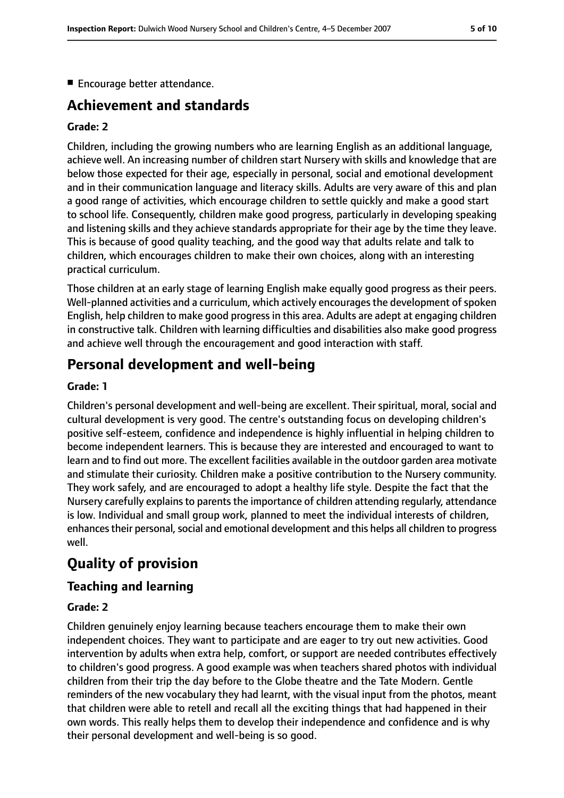■ Encourage better attendance.

# **Achievement and standards**

#### **Grade: 2**

Children, including the growing numbers who are learning English as an additional language, achieve well. An increasing number of children start Nursery with skills and knowledge that are below those expected for their age, especially in personal, social and emotional development and in their communication language and literacy skills. Adults are very aware of this and plan a good range of activities, which encourage children to settle quickly and make a good start to school life. Consequently, children make good progress, particularly in developing speaking and listening skills and they achieve standards appropriate for their age by the time they leave. This is because of good quality teaching, and the good way that adults relate and talk to children, which encourages children to make their own choices, along with an interesting practical curriculum.

Those children at an early stage of learning English make equally good progress as their peers. Well-planned activities and a curriculum, which actively encourages the development of spoken English, help children to make good progress in this area. Adults are adept at engaging children in constructive talk. Children with learning difficulties and disabilities also make good progress and achieve well through the encouragement and good interaction with staff.

# **Personal development and well-being**

#### **Grade: 1**

Children's personal development and well-being are excellent. Their spiritual, moral, social and cultural development is very good. The centre's outstanding focus on developing children's positive self-esteem, confidence and independence is highly influential in helping children to become independent learners. This is because they are interested and encouraged to want to learn and to find out more. The excellent facilities available in the outdoor garden area motivate and stimulate their curiosity. Children make a positive contribution to the Nursery community. They work safely, and are encouraged to adopt a healthy life style. Despite the fact that the Nursery carefully explains to parents the importance of children attending regularly, attendance is low. Individual and small group work, planned to meet the individual interests of children, enhances their personal, social and emotional development and this helps all children to progress well.

# **Quality of provision**

#### **Teaching and learning**

#### **Grade: 2**

Children genuinely enjoy learning because teachers encourage them to make their own independent choices. They want to participate and are eager to try out new activities. Good intervention by adults when extra help, comfort, or support are needed contributes effectively to children's good progress. A good example was when teachers shared photos with individual children from their trip the day before to the Globe theatre and the Tate Modern. Gentle reminders of the new vocabulary they had learnt, with the visual input from the photos, meant that children were able to retell and recall all the exciting things that had happened in their own words. This really helps them to develop their independence and confidence and is why their personal development and well-being is so good.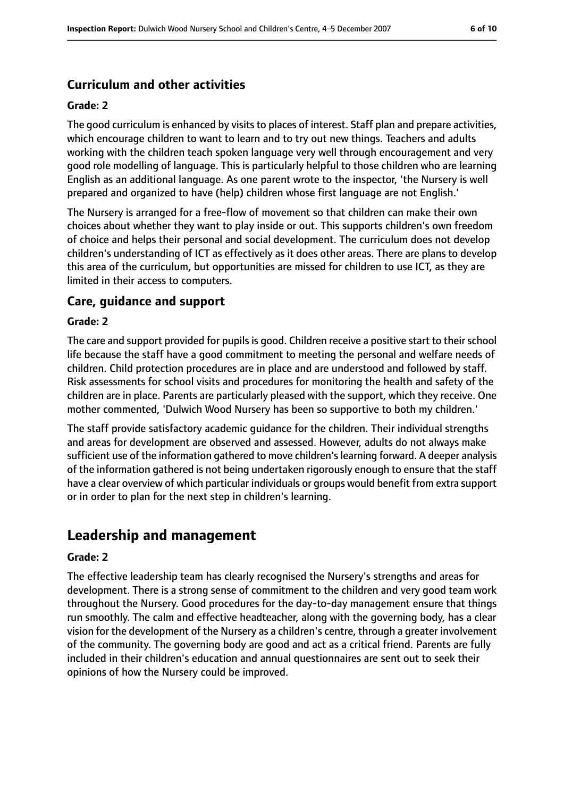### **Curriculum and other activities**

#### **Grade: 2**

The good curriculum is enhanced by visits to places of interest. Staff plan and prepare activities, which encourage children to want to learn and to try out new things. Teachers and adults working with the children teach spoken language very well through encouragement and very good role modelling of language. This is particularly helpful to those children who are learning English as an additional language. As one parent wrote to the inspector, 'the Nursery is well prepared and organized to have (help) children whose first language are not English.'

The Nursery is arranged for a free-flow of movement so that children can make their own choices about whether they want to play inside or out. This supports children's own freedom of choice and helps their personal and social development. The curriculum does not develop children's understanding of ICT as effectively as it does other areas. There are plans to develop this area of the curriculum, but opportunities are missed for children to use ICT, as they are limited in their access to computers.

#### **Care, guidance and support**

#### **Grade: 2**

The care and support provided for pupils is good. Children receive a positive start to their school life because the staff have a good commitment to meeting the personal and welfare needs of children. Child protection procedures are in place and are understood and followed by staff. Risk assessments for school visits and procedures for monitoring the health and safety of the children are in place. Parents are particularly pleased with the support, which they receive. One mother commented, 'Dulwich Wood Nursery has been so supportive to both my children.'

The staff provide satisfactory academic guidance for the children. Their individual strengths and areas for development are observed and assessed. However, adults do not always make sufficient use of the information gathered to move children'slearning forward. A deeper analysis of the information gathered is not being undertaken rigorously enough to ensure that the staff have a clear overview of which particular individuals or groups would benefit from extra support or in order to plan for the next step in children's learning.

# **Leadership and management**

#### **Grade: 2**

The effective leadership team has clearly recognised the Nursery's strengths and areas for development. There is a strong sense of commitment to the children and very good team work throughout the Nursery. Good procedures for the day-to-day management ensure that things run smoothly. The calm and effective headteacher, along with the governing body, has a clear vision for the development of the Nursery as a children's centre, through a greater involvement of the community. The governing body are good and act as a critical friend. Parents are fully included in their children's education and annual questionnaires are sent out to seek their opinions of how the Nursery could be improved.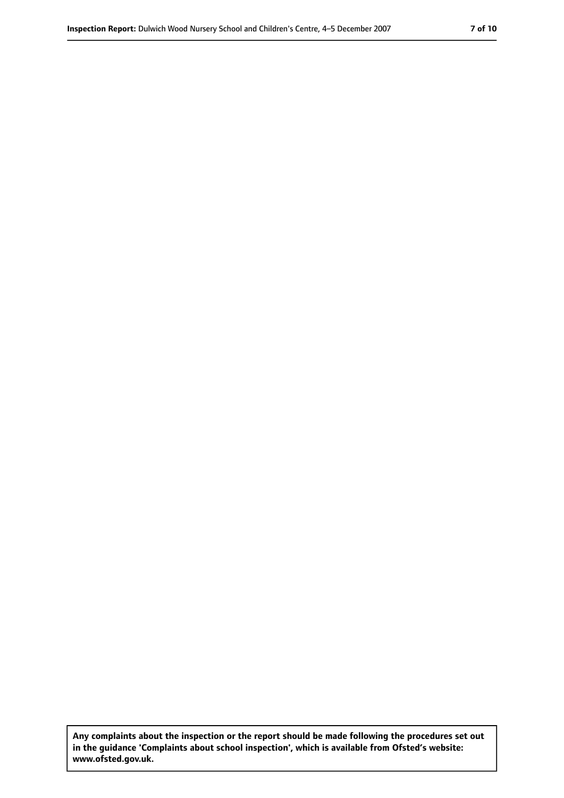**Any complaints about the inspection or the report should be made following the procedures set out in the guidance 'Complaints about school inspection', which is available from Ofsted's website: www.ofsted.gov.uk.**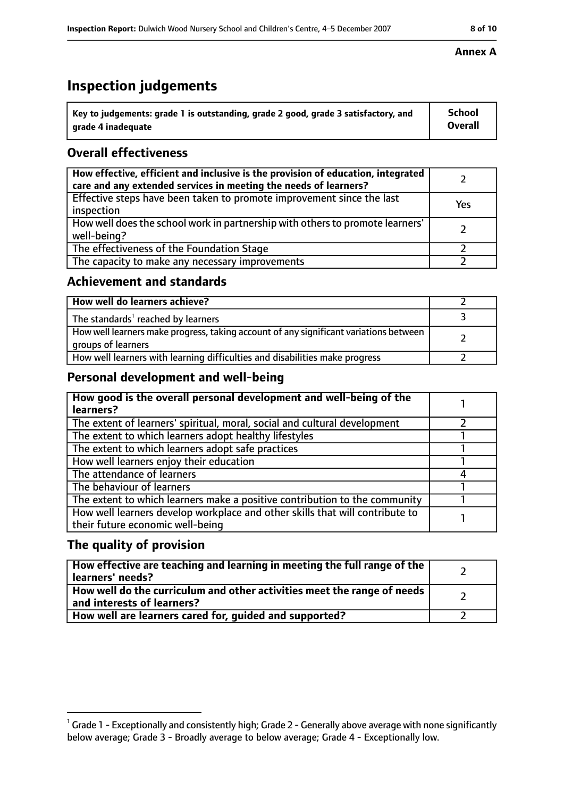# **Inspection judgements**

| $^{\backprime}$ Key to judgements: grade 1 is outstanding, grade 2 good, grade 3 satisfactory, and | School         |
|----------------------------------------------------------------------------------------------------|----------------|
| arade 4 inadequate                                                                                 | <b>Overall</b> |

### **Overall effectiveness**

| How effective, efficient and inclusive is the provision of education, integrated<br>care and any extended services in meeting the needs of learners? |     |
|------------------------------------------------------------------------------------------------------------------------------------------------------|-----|
| Effective steps have been taken to promote improvement since the last<br>inspection                                                                  | Yes |
| How well does the school work in partnership with others to promote learners'<br>well-being?                                                         |     |
| The effectiveness of the Foundation Stage                                                                                                            |     |
| The capacity to make any necessary improvements                                                                                                      |     |

#### **Achievement and standards**

| How well do learners achieve?                                                                               |  |
|-------------------------------------------------------------------------------------------------------------|--|
| The standards <sup>1</sup> reached by learners                                                              |  |
| How well learners make progress, taking account of any significant variations between<br>groups of learners |  |
| How well learners with learning difficulties and disabilities make progress                                 |  |

### **Personal development and well-being**

| How good is the overall personal development and well-being of the<br>learners?                                  |  |
|------------------------------------------------------------------------------------------------------------------|--|
| The extent of learners' spiritual, moral, social and cultural development                                        |  |
| The extent to which learners adopt healthy lifestyles                                                            |  |
| The extent to which learners adopt safe practices                                                                |  |
| How well learners enjoy their education                                                                          |  |
| The attendance of learners                                                                                       |  |
| The behaviour of learners                                                                                        |  |
| The extent to which learners make a positive contribution to the community                                       |  |
| How well learners develop workplace and other skills that will contribute to<br>their future economic well-being |  |

### **The quality of provision**

| How effective are teaching and learning in meeting the full range of the<br>learners' needs?          |  |
|-------------------------------------------------------------------------------------------------------|--|
| How well do the curriculum and other activities meet the range of needs<br>and interests of learners? |  |
| How well are learners cared for, guided and supported?                                                |  |

#### **Annex A**

 $^1$  Grade 1 - Exceptionally and consistently high; Grade 2 - Generally above average with none significantly below average; Grade 3 - Broadly average to below average; Grade 4 - Exceptionally low.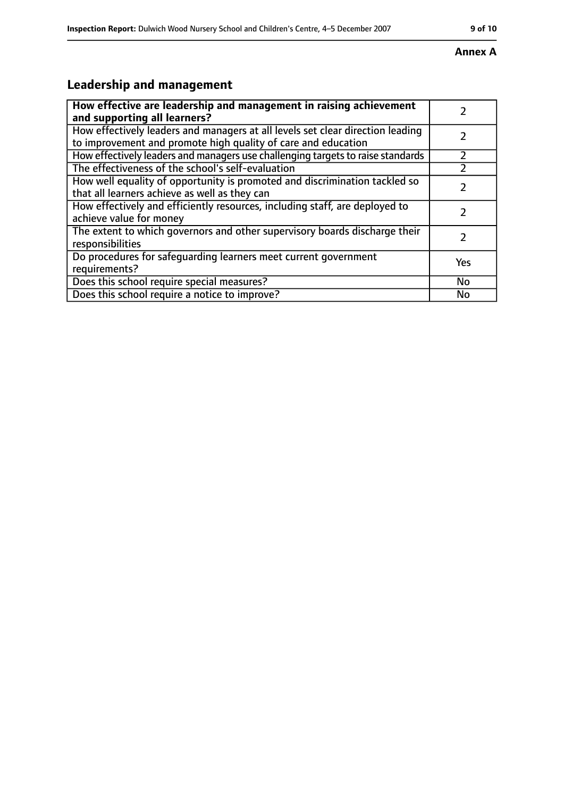#### **Annex A**

# **Leadership and management**

| How effective are leadership and management in raising achievement                                                                              |           |
|-------------------------------------------------------------------------------------------------------------------------------------------------|-----------|
| and supporting all learners?                                                                                                                    |           |
| How effectively leaders and managers at all levels set clear direction leading<br>to improvement and promote high quality of care and education |           |
| How effectively leaders and managers use challenging targets to raise standards                                                                 | フ         |
| The effectiveness of the school's self-evaluation                                                                                               |           |
| How well equality of opportunity is promoted and discrimination tackled so<br>that all learners achieve as well as they can                     |           |
| How effectively and efficiently resources, including staff, are deployed to<br>achieve value for money                                          |           |
| The extent to which governors and other supervisory boards discharge their<br>responsibilities                                                  | 7         |
| Do procedures for safequarding learners meet current government<br>requirements?                                                                | Yes       |
| Does this school require special measures?                                                                                                      | <b>No</b> |
| Does this school require a notice to improve?                                                                                                   | No        |